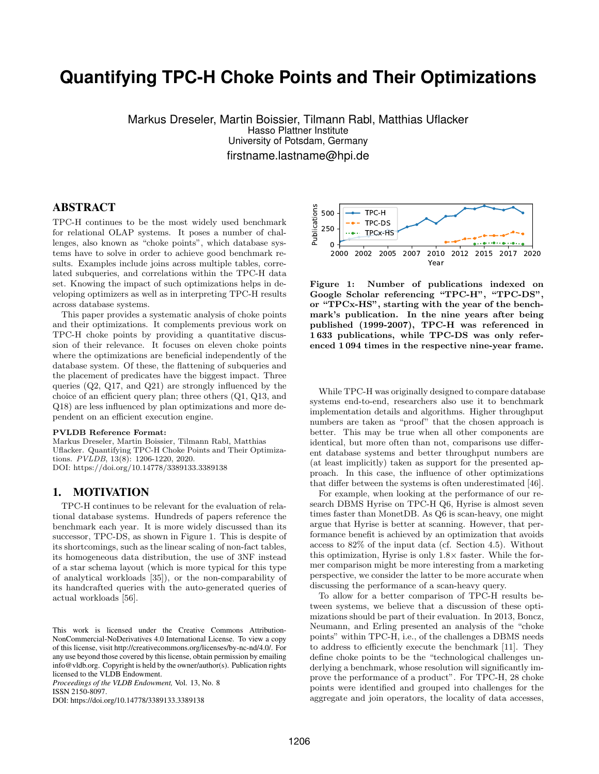# **Quantifying TPC-H Choke Points and Their Optimizations**

Markus Dreseler, Martin Boissier, Tilmann Rabl, Matthias Uflacker Hasso Plattner Institute University of Potsdam, Germany firstname.lastname@hpi.de

# ABSTRACT

TPC-H continues to be the most widely used benchmark for relational OLAP systems. It poses a number of challenges, also known as "choke points", which database systems have to solve in order to achieve good benchmark results. Examples include joins across multiple tables, correlated subqueries, and correlations within the TPC-H data set. Knowing the impact of such optimizations helps in developing optimizers as well as in interpreting TPC-H results across database systems.

This paper provides a systematic analysis of choke points and their optimizations. It complements previous work on TPC-H choke points by providing a quantitative discussion of their relevance. It focuses on eleven choke points where the optimizations are beneficial independently of the database system. Of these, the flattening of subqueries and the placement of predicates have the biggest impact. Three queries (Q2, Q17, and Q21) are strongly influenced by the choice of an efficient query plan; three others (Q1, Q13, and Q18) are less influenced by plan optimizations and more dependent on an efficient execution engine.

#### PVLDB Reference Format:

Markus Dreseler, Martin Boissier, Tilmann Rabl, Matthias Uflacker. Quantifying TPC-H Choke Points and Their Optimizations. PVLDB, 13(8): 1206-1220, 2020. DOI: https://doi.org/10.14778/3389133.3389138

## 1. MOTIVATION

TPC-H continues to be relevant for the evaluation of relational database systems. Hundreds of papers reference the benchmark each year. It is more widely discussed than its successor, TPC-DS, as shown in Figure [1.](#page-0-0) This is despite of its shortcomings, such as the linear scaling of non-fact tables, its homogeneous data distribution, the use of 3NF instead of a star schema layout (which is more typical for this type of analytical workloads [\[35\]](#page-13-0)), or the non-comparability of its handcrafted queries with the auto-generated queries of actual workloads [\[56\]](#page-14-0).

*Proceedings of the VLDB Endowment,* Vol. 13, No. 8 ISSN 2150-8097.

DOI: https://doi.org/10.14778/3389133.3389138



<span id="page-0-0"></span>Figure 1: Number of publications indexed on Google Scholar referencing "TPC-H", "TPC-DS", or "TPCx-HS", starting with the year of the benchmark's publication. In the nine years after being published (1999-2007), TPC-H was referenced in 1 633 publications, while TPC-DS was only referenced 1 094 times in the respective nine-year frame.

While TPC-H was originally designed to compare database systems end-to-end, researchers also use it to benchmark implementation details and algorithms. Higher throughput numbers are taken as "proof" that the chosen approach is better. This may be true when all other components are identical, but more often than not, comparisons use different database systems and better throughput numbers are (at least implicitly) taken as support for the presented approach. In this case, the influence of other optimizations that differ between the systems is often underestimated [\[46\]](#page-13-1).

For example, when looking at the performance of our research DBMS Hyrise on TPC-H Q6, Hyrise is almost seven times faster than MonetDB. As Q6 is scan-heavy, one might argue that Hyrise is better at scanning. However, that performance benefit is achieved by an optimization that avoids access to 82% of the input data (cf. Section [4.5\)](#page-5-0). Without this optimization, Hyrise is only  $1.8\times$  faster. While the former comparison might be more interesting from a marketing perspective, we consider the latter to be more accurate when discussing the performance of a scan-heavy query.

To allow for a better comparison of TPC-H results between systems, we believe that a discussion of these optimizations should be part of their evaluation. In 2013, Boncz, Neumann, and Erling presented an analysis of the "choke points" within TPC-H, i.e., of the challenges a DBMS needs to address to efficiently execute the benchmark [\[11\]](#page-12-0). They define choke points to be the "technological challenges underlying a benchmark, whose resolution will significantly improve the performance of a product". For TPC-H, 28 choke points were identified and grouped into challenges for the aggregate and join operators, the locality of data accesses,

This work is licensed under the Creative Commons Attribution-NonCommercial-NoDerivatives 4.0 International License. To view a copy of this license, visit http://creativecommons.org/licenses/by-nc-nd/4.0/. For any use beyond those covered by this license, obtain permission by emailing info@vldb.org. Copyright is held by the owner/author(s). Publication rights licensed to the VLDB Endowment.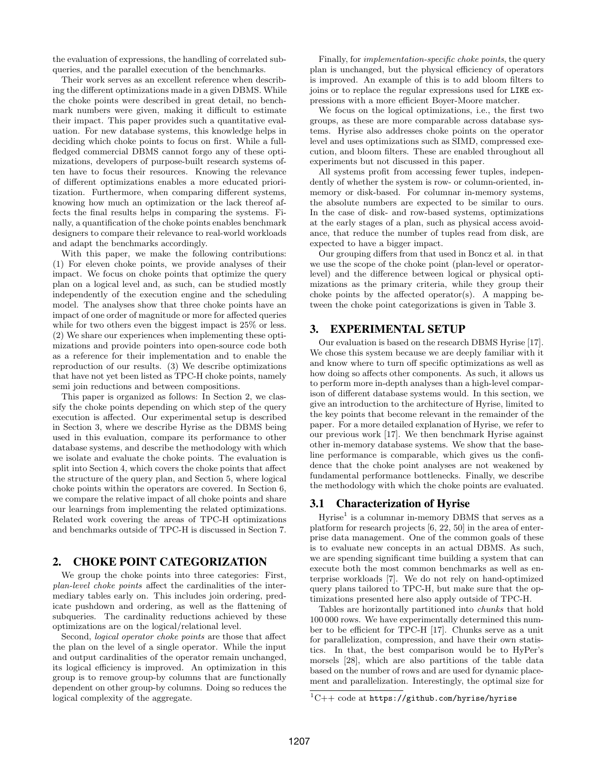the evaluation of expressions, the handling of correlated subqueries, and the parallel execution of the benchmarks.

Their work serves as an excellent reference when describing the different optimizations made in a given DBMS. While the choke points were described in great detail, no benchmark numbers were given, making it difficult to estimate their impact. This paper provides such a quantitative evaluation. For new database systems, this knowledge helps in deciding which choke points to focus on first. While a fullfledged commercial DBMS cannot forgo any of these optimizations, developers of purpose-built research systems often have to focus their resources. Knowing the relevance of different optimizations enables a more educated prioritization. Furthermore, when comparing different systems, knowing how much an optimization or the lack thereof affects the final results helps in comparing the systems. Finally, a quantification of the choke points enables benchmark designers to compare their relevance to real-world workloads and adapt the benchmarks accordingly.

With this paper, we make the following contributions: (1) For eleven choke points, we provide analyses of their impact. We focus on choke points that optimize the query plan on a logical level and, as such, can be studied mostly independently of the execution engine and the scheduling model. The analyses show that three choke points have an impact of one order of magnitude or more for affected queries while for two others even the biggest impact is  $25\%$  or less. (2) We share our experiences when implementing these optimizations and provide pointers into open-source code both as a reference for their implementation and to enable the reproduction of our results. (3) We describe optimizations that have not yet been listed as TPC-H choke points, namely semi join reductions and between compositions.

This paper is organized as follows: In Section [2,](#page-1-0) we classify the choke points depending on which step of the query execution is affected. Our experimental setup is described in Section [3,](#page-1-1) where we describe Hyrise as the DBMS being used in this evaluation, compare its performance to other database systems, and describe the methodology with which we isolate and evaluate the choke points. The evaluation is split into Section [4,](#page-3-0) which covers the choke points that affect the structure of the query plan, and Section [5,](#page-8-0) where logical choke points within the operators are covered. In Section [6,](#page-9-0) we compare the relative impact of all choke points and share our learnings from implementing the related optimizations. Related work covering the areas of TPC-H optimizations and benchmarks outside of TPC-H is discussed in Section [7.](#page-10-0)

# <span id="page-1-0"></span>2. CHOKE POINT CATEGORIZATION

We group the choke points into three categories: First, plan-level choke points affect the cardinalities of the intermediary tables early on. This includes join ordering, predicate pushdown and ordering, as well as the flattening of subqueries. The cardinality reductions achieved by these optimizations are on the logical/relational level.

Second, logical operator choke points are those that affect the plan on the level of a single operator. While the input and output cardinalities of the operator remain unchanged, its logical efficiency is improved. An optimization in this group is to remove group-by columns that are functionally dependent on other group-by columns. Doing so reduces the logical complexity of the aggregate.

Finally, for implementation-specific choke points, the query plan is unchanged, but the physical efficiency of operators is improved. An example of this is to add bloom filters to joins or to replace the regular expressions used for LIKE expressions with a more efficient Boyer-Moore matcher.

We focus on the logical optimizations, i.e., the first two groups, as these are more comparable across database systems. Hyrise also addresses choke points on the operator level and uses optimizations such as SIMD, compressed execution, and bloom filters. These are enabled throughout all experiments but not discussed in this paper.

All systems profit from accessing fewer tuples, independently of whether the system is row- or column-oriented, inmemory or disk-based. For columnar in-memory systems, the absolute numbers are expected to be similar to ours. In the case of disk- and row-based systems, optimizations at the early stages of a plan, such as physical access avoidance, that reduce the number of tuples read from disk, are expected to have a bigger impact.

Our grouping differs from that used in Boncz et al. in that we use the scope of the choke point (plan-level or operatorlevel) and the difference between logical or physical optimizations as the primary criteria, while they group their choke points by the affected operator(s). A mapping between the choke point categorizations is given in Table [3.](#page-10-1)

## <span id="page-1-1"></span>3. EXPERIMENTAL SETUP

Our evaluation is based on the research DBMS Hyrise [\[17\]](#page-12-1). We chose this system because we are deeply familiar with it and know where to turn off specific optimizations as well as how doing so affects other components. As such, it allows us to perform more in-depth analyses than a high-level comparison of different database systems would. In this section, we give an introduction to the architecture of Hyrise, limited to the key points that become relevant in the remainder of the paper. For a more detailed explanation of Hyrise, we refer to our previous work [\[17\]](#page-12-1). We then benchmark Hyrise against other in-memory database systems. We show that the baseline performance is comparable, which gives us the confidence that the choke point analyses are not weakened by fundamental performance bottlenecks. Finally, we describe the methodology with which the choke points are evaluated.

### 3.1 Characterization of Hyrise

 $Hyrise<sup>1</sup>$  $Hyrise<sup>1</sup>$  $Hyrise<sup>1</sup>$  is a columnar in-memory DBMS that serves as a platform for research projects [\[6,](#page-12-2) [22,](#page-12-3) [50\]](#page-13-2) in the area of enterprise data management. One of the common goals of these is to evaluate new concepts in an actual DBMS. As such, we are spending significant time building a system that can execute both the most common benchmarks as well as enterprise workloads [\[7\]](#page-12-4). We do not rely on hand-optimized query plans tailored to TPC-H, but make sure that the optimizations presented here also apply outside of TPC-H.

Tables are horizontally partitioned into chunks that hold 100 000 rows. We have experimentally determined this number to be efficient for TPC-H [\[17\]](#page-12-1). Chunks serve as a unit for parallelization, compression, and have their own statistics. In that, the best comparison would be to HyPer's morsels [\[28\]](#page-13-3), which are also partitions of the table data based on the number of rows and are used for dynamic placement and parallelization. Interestingly, the optimal size for

<span id="page-1-2"></span> ${}^{1}$ C++ code at <https://github.com/hyrise/hyrise>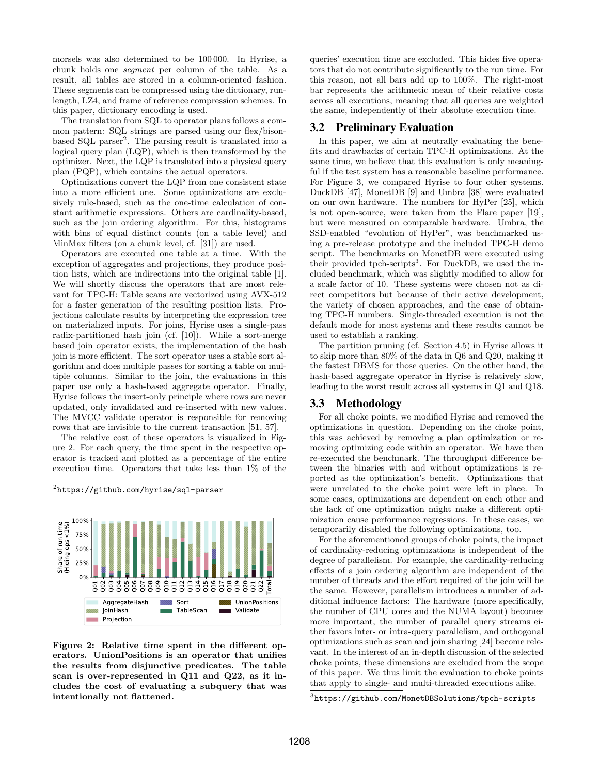morsels was also determined to be 100 000. In Hyrise, a chunk holds one segment per column of the table. As a result, all tables are stored in a column-oriented fashion. These segments can be compressed using the dictionary, runlength, LZ4, and frame of reference compression schemes. In this paper, dictionary encoding is used.

The translation from SQL to operator plans follows a common pattern: SQL strings are parsed using our flex/bison-based SQL parser<sup>[2](#page-2-0)</sup>. The parsing result is translated into a logical query plan (LQP), which is then transformed by the optimizer. Next, the LQP is translated into a physical query plan (PQP), which contains the actual operators.

Optimizations convert the LQP from one consistent state into a more efficient one. Some optimizations are exclusively rule-based, such as the one-time calculation of constant arithmetic expressions. Others are cardinality-based, such as the join ordering algorithm. For this, histograms with bins of equal distinct counts (on a table level) and MinMax filters (on a chunk level, cf. [\[31\]](#page-13-4)) are used.

Operators are executed one table at a time. With the exception of aggregates and projections, they produce position lists, which are indirections into the original table [\[1\]](#page-12-5). We will shortly discuss the operators that are most relevant for TPC-H: Table scans are vectorized using AVX-512 for a faster generation of the resulting position lists. Projections calculate results by interpreting the expression tree on materialized inputs. For joins, Hyrise uses a single-pass radix-partitioned hash join (cf. [\[10\]](#page-12-6)). While a sort-merge based join operator exists, the implementation of the hash join is more efficient. The sort operator uses a stable sort algorithm and does multiple passes for sorting a table on multiple columns. Similar to the join, the evaluations in this paper use only a hash-based aggregate operator. Finally, Hyrise follows the insert-only principle where rows are never updated, only invalidated and re-inserted with new values. The MVCC validate operator is responsible for removing rows that are invisible to the current transaction [\[51,](#page-13-5) [57\]](#page-14-1).

The relative cost of these operators is visualized in Figure [2.](#page-2-1) For each query, the time spent in the respective operator is tracked and plotted as a percentage of the entire execution time. Operators that take less than 1% of the

<span id="page-2-0"></span> $^{2}$ <https://github.com/hyrise/sql-parser>



<span id="page-2-1"></span>Figure 2: Relative time spent in the different operators. UnionPositions is an operator that unifies the results from disjunctive predicates. The table scan is over-represented in Q11 and Q22, as it includes the cost of evaluating a subquery that was intentionally not flattened.

queries' execution time are excluded. This hides five operators that do not contribute significantly to the run time. For this reason, not all bars add up to 100%. The right-most bar represents the arithmetic mean of their relative costs across all executions, meaning that all queries are weighted the same, independently of their absolute execution time.

### 3.2 Preliminary Evaluation

In this paper, we aim at neutrally evaluating the benefits and drawbacks of certain TPC-H optimizations. At the same time, we believe that this evaluation is only meaningful if the test system has a reasonable baseline performance. For Figure [3,](#page-3-1) we compared Hyrise to four other systems. DuckDB [\[47\]](#page-13-6), MonetDB [\[9\]](#page-12-7) and Umbra [\[38\]](#page-13-7) were evaluated on our own hardware. The numbers for HyPer [\[25\]](#page-12-8), which is not open-source, were taken from the Flare paper [\[19\]](#page-12-9), but were measured on comparable hardware. Umbra, the SSD-enabled "evolution of HyPer", was benchmarked using a pre-release prototype and the included TPC-H demo script. The benchmarks on MonetDB were executed using their provided tpch-scripts<sup>[3](#page-2-2)</sup>. For DuckDB, we used the included benchmark, which was slightly modified to allow for a scale factor of 10. These systems were chosen not as direct competitors but because of their active development, the variety of chosen approaches, and the ease of obtaining TPC-H numbers. Single-threaded execution is not the default mode for most systems and these results cannot be used to establish a ranking.

The partition pruning (cf. Section [4.5\)](#page-5-0) in Hyrise allows it to skip more than 80% of the data in Q6 and Q20, making it the fastest DBMS for those queries. On the other hand, the hash-based aggregate operator in Hyrise is relatively slow, leading to the worst result across all systems in Q1 and Q18.

#### 3.3 Methodology

For all choke points, we modified Hyrise and removed the optimizations in question. Depending on the choke point, this was achieved by removing a plan optimization or removing optimizing code within an operator. We have then re-executed the benchmark. The throughput difference between the binaries with and without optimizations is reported as the optimization's benefit. Optimizations that were unrelated to the choke point were left in place. In some cases, optimizations are dependent on each other and the lack of one optimization might make a different optimization cause performance regressions. In these cases, we temporarily disabled the following optimizations, too.

For the aforementioned groups of choke points, the impact of cardinality-reducing optimizations is independent of the degree of parallelism. For example, the cardinality-reducing effects of a join ordering algorithm are independent of the number of threads and the effort required of the join will be the same. However, parallelism introduces a number of additional influence factors: The hardware (more specifically, the number of CPU cores and the NUMA layout) becomes more important, the number of parallel query streams either favors inter- or intra-query parallelism, and orthogonal optimizations such as scan and join sharing [\[24\]](#page-12-10) become relevant. In the interest of an in-depth discussion of the selected choke points, these dimensions are excluded from the scope of this paper. We thus limit the evaluation to choke points that apply to single- and multi-threaded executions alike.

<span id="page-2-2"></span> $^3$ <https://github.com/MonetDBSolutions/tpch-scripts>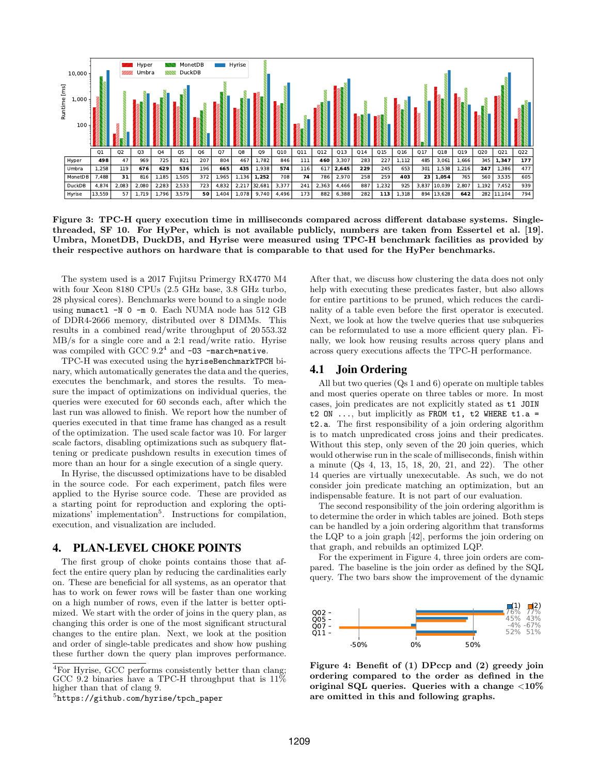

<span id="page-3-1"></span>Figure 3: TPC-H query execution time in milliseconds compared across different database systems. Singlethreaded, SF 10. For HyPer, which is not available publicly, numbers are taken from Essertel et al. [\[19\]](#page-12-9). Umbra, MonetDB, DuckDB, and Hyrise were measured using TPC-H benchmark facilities as provided by their respective authors on hardware that is comparable to that used for the HyPer benchmarks.

The system used is a 2017 Fujitsu Primergy RX4770 M4 with four Xeon 8180 CPUs (2.5 GHz base, 3.8 GHz turbo, 28 physical cores). Benchmarks were bound to a single node using numactl -N 0 -m 0. Each NUMA node has 512 GB of DDR4-2666 memory, distributed over 8 DIMMs. This results in a combined read/write throughput of 20 553.32 MB/s for a single core and a 2:1 read/write ratio. Hyrise was compiled with GCC  $9.2^4$  $9.2^4$  and  $-03$  -march=native.

TPC-H was executed using the hyriseBenchmarkTPCH binary, which automatically generates the data and the queries, executes the benchmark, and stores the results. To measure the impact of optimizations on individual queries, the queries were executed for 60 seconds each, after which the last run was allowed to finish. We report how the number of queries executed in that time frame has changed as a result of the optimization. The used scale factor was 10. For larger scale factors, disabling optimizations such as subquery flattening or predicate pushdown results in execution times of more than an hour for a single execution of a single query.

In Hyrise, the discussed optimizations have to be disabled in the source code. For each experiment, patch files were applied to the Hyrise source code. These are provided as a starting point for reproduction and exploring the opti-mizations' implementation<sup>[5](#page-3-3)</sup>. Instructions for compilation, execution, and visualization are included.

# <span id="page-3-0"></span>4. PLAN-LEVEL CHOKE POINTS

The first group of choke points contains those that affect the entire query plan by reducing the cardinalities early on. These are beneficial for all systems, as an operator that has to work on fewer rows will be faster than one working on a high number of rows, even if the latter is better optimized. We start with the order of joins in the query plan, as changing this order is one of the most significant structural changes to the entire plan. Next, we look at the position and order of single-table predicates and show how pushing these further down the query plan improves performance.

After that, we discuss how clustering the data does not only help with executing these predicates faster, but also allows for entire partitions to be pruned, which reduces the cardinality of a table even before the first operator is executed. Next, we look at how the twelve queries that use subqueries can be reformulated to use a more efficient query plan. Finally, we look how reusing results across query plans and across query executions affects the TPC-H performance.

#### <span id="page-3-5"></span>4.1 Join Ordering

All but two queries (Qs 1 and 6) operate on multiple tables and most queries operate on three tables or more. In most cases, join predicates are not explicitly stated as t1 JOIN t2 ON ..., but implicitly as FROM t1, t2 WHERE t1.a = t2.a. The first responsibility of a join ordering algorithm is to match unpredicated cross joins and their predicates. Without this step, only seven of the 20 join queries, which would otherwise run in the scale of milliseconds, finish within a minute (Qs 4, 13, 15, 18, 20, 21, and 22). The other 14 queries are virtually unexecutable. As such, we do not consider join predicate matching an optimization, but an indispensable feature. It is not part of our evaluation.

The second responsibility of the join ordering algorithm is to determine the order in which tables are joined. Both steps can be handled by a join ordering algorithm that transforms the LQP to a join graph [\[42\]](#page-13-8), performs the join ordering on that graph, and rebuilds an optimized LQP.

For the experiment in Figure [4,](#page-3-4) three join orders are compared. The baseline is the join order as defined by the SQL query. The two bars show the improvement of the dynamic



<span id="page-3-4"></span>Figure 4: Benefit of (1) DPccp and (2) greedy join ordering compared to the order as defined in the original SQL queries. Queries with a change  $\langle 10\%$ are omitted in this and following graphs.

<span id="page-3-2"></span><sup>&</sup>lt;sup>4</sup>For Hyrise, GCC performs consistently better than clang; GCC 9.2 binaries have a TPC-H throughput that is 11% higher than that of clang 9.

<span id="page-3-3"></span><sup>5</sup> [https://github.com/hyrise/tpch\\_paper](https://github.com/hyrise/tpch_paper)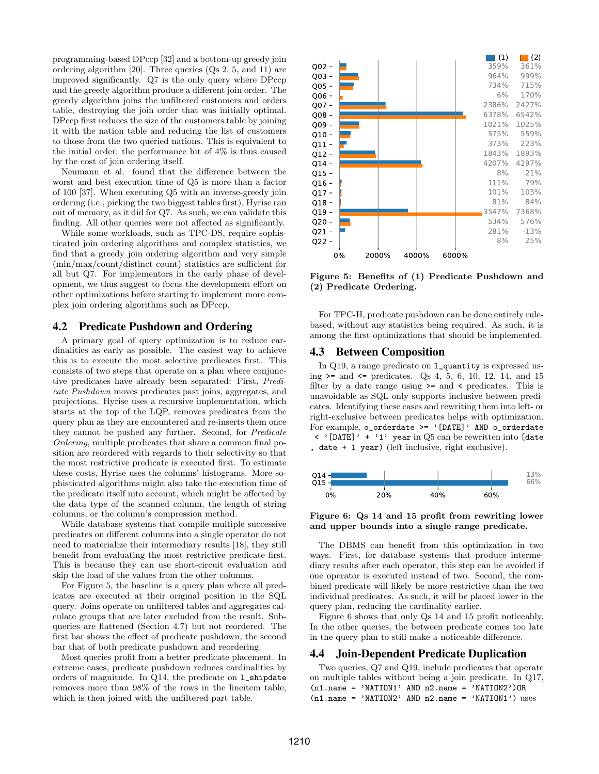programming-based DPccp [\[32\]](#page-13-9) and a bottom-up greedy join ordering algorithm [\[20\]](#page-12-11). Three queries (Qs 2, 5, and 11) are improved significantly. Q7 is the only query where DPccp and the greedy algorithm produce a different join order. The greedy algorithm joins the unfiltered customers and orders table, destroying the join order that was initially optimal. DPccp first reduces the size of the customers table by joining it with the nation table and reducing the list of customers to those from the two queried nations. This is equivalent to the initial order; the performance hit of 4% is thus caused by the cost of join ordering itself.

Neumann et al. found that the difference between the worst and best execution time of Q5 is more than a factor of 100 [\[37\]](#page-13-10). When executing Q5 with an inverse-greedy join ordering (i.e., picking the two biggest tables first), Hyrise ran out of memory, as it did for Q7. As such, we can validate this finding. All other queries were not affected as significantly.

While some workloads, such as TPC-DS, require sophisticated join ordering algorithms and complex statistics, we find that a greedy join ordering algorithm and very simple (min/max/count/distinct count) statistics are sufficient for all but Q7. For implementors in the early phase of development, we thus suggest to focus the development effort on other optimizations before starting to implement more complex join ordering algorithms such as DPccp.

## <span id="page-4-3"></span>4.2 Predicate Pushdown and Ordering

A primary goal of query optimization is to reduce cardinalities as early as possible. The easiest way to achieve this is to execute the most selective predicates first. This consists of two steps that operate on a plan where conjunctive predicates have already been separated: First, Predicate Pushdown moves predicates past joins, aggregates, and projections. Hyrise uses a recursive implementation, which starts at the top of the LQP, removes predicates from the query plan as they are encountered and re-inserts them once they cannot be pushed any further. Second, for Predicate Ordering, multiple predicates that share a common final position are reordered with regards to their selectivity so that the most restrictive predicate is executed first. To estimate these costs, Hyrise uses the columns' histograms. More sophisticated algorithms might also take the execution time of the predicate itself into account, which might be affected by the data type of the scanned column, the length of string columns, or the column's compression method.

While database systems that compile multiple successive predicates on different columns into a single operator do not need to materialize their intermediary results [\[18\]](#page-12-12), they still benefit from evaluating the most restrictive predicate first. This is because they can use short-circuit evaluation and skip the load of the values from the other columns.

For Figure [5,](#page-4-0) the baseline is a query plan where all predicates are executed at their original position in the SQL query. Joins operate on unfiltered tables and aggregates calculate groups that are later excluded from the result. Subqueries are flattened (Section [4.7\)](#page-6-0) but not reordered. The first bar shows the effect of predicate pushdown, the second bar that of both predicate pushdown and reordering.

Most queries profit from a better predicate placement. In extreme cases, predicate pushdown reduces cardinalities by orders of magnitude. In Q14, the predicate on l\_shipdate removes more than 98% of the rows in the lineitem table, which is then joined with the unfiltered part table.



<span id="page-4-0"></span>Figure 5: Benefits of (1) Predicate Pushdown and (2) Predicate Ordering.

For TPC-H, predicate pushdown can be done entirely rulebased, without any statistics being required. As such, it is among the first optimizations that should be implemented.

#### <span id="page-4-4"></span>4.3 Between Composition

In Q19, a range predicate on l\_quantity is expressed using  $>=$  and  $\le$  predicates. Qs 4, 5, 6, 10, 12, 14, and 15 filter by a date range using >= and < predicates. This is unavoidable as SQL only supports inclusive between predicates. Identifying these cases and rewriting them into left- or right-exclusive between predicates helps with optimization. For example,  $o$ \_orderdate >= '[DATE]' AND  $o$ \_orderdate  $\langle \cdot \rangle$  [DATE]  $\langle \cdot + \cdot \rangle$  year in Q5 can be rewritten into [date , date + 1 year) (left inclusive, right exclusive).



<span id="page-4-1"></span>Figure 6: Qs 14 and 15 profit from rewriting lower and upper bounds into a single range predicate.

The DBMS can benefit from this optimization in two ways. First, for database systems that produce intermediary results after each operator, this step can be avoided if one operator is executed instead of two. Second, the combined predicate will likely be more restrictive than the two individual predicates. As such, it will be placed lower in the query plan, reducing the cardinality earlier.

Figure [6](#page-4-1) shows that only Qs 14 and 15 profit noticeably. In the other queries, the between predicate comes too late in the query plan to still make a noticeable difference.

#### <span id="page-4-2"></span>4.4 Join-Dependent Predicate Duplication

Two queries, Q7 and Q19, include predicates that operate on multiple tables without being a join predicate. In Q17, (n1.name = 'NATION1' AND n2.name = 'NATION2')OR (n1.name = 'NATION2' AND n2.name = 'NATION1') uses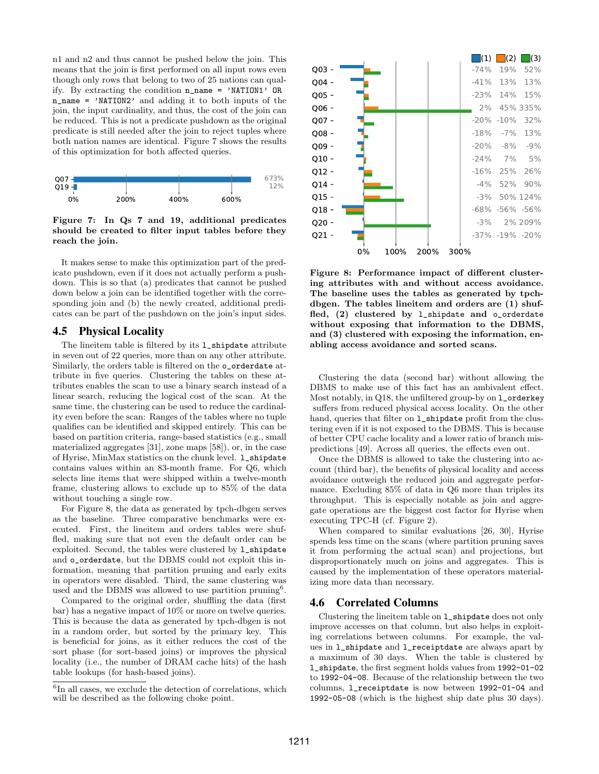n1 and n2 and thus cannot be pushed below the join. This means that the join is first performed on all input rows even though only rows that belong to two of 25 nations can qualify. By extracting the condition n\_name = 'NATION1' OR n\_name = 'NATION2' and adding it to both inputs of the join, the input cardinality, and thus, the cost of the join can be reduced. This is not a predicate pushdown as the original predicate is still needed after the join to reject tuples where both nation names are identical. Figure [7](#page-5-1) shows the results of this optimization for both affected queries.



<span id="page-5-1"></span>Figure 7: In Qs 7 and 19, additional predicates should be created to filter input tables before they reach the join.

It makes sense to make this optimization part of the predicate pushdown, even if it does not actually perform a pushdown. This is so that (a) predicates that cannot be pushed down below a join can be identified together with the corresponding join and (b) the newly created, additional predicates can be part of the pushdown on the join's input sides.

## <span id="page-5-0"></span>4.5 Physical Locality

The lineitem table is filtered by its l\_shipdate attribute in seven out of 22 queries, more than on any other attribute. Similarly, the orders table is filtered on the o\_orderdate attribute in five queries. Clustering the tables on these attributes enables the scan to use a binary search instead of a linear search, reducing the logical cost of the scan. At the same time, the clustering can be used to reduce the cardinality even before the scan: Ranges of the tables where no tuple qualifies can be identified and skipped entirely. This can be based on partition criteria, range-based statistics (e.g., small materialized aggregates [\[31\]](#page-13-4), zone maps [\[58\]](#page-14-2)), or, in the case of Hyrise, MinMax statistics on the chunk level. 1\_shipdate contains values within an 83-month frame. For Q6, which selects line items that were shipped within a twelve-month frame, clustering allows to exclude up to 85% of the data without touching a single row.

For Figure [8,](#page-5-2) the data as generated by tpch-dbgen serves as the baseline. Three comparative benchmarks were executed. First, the lineitem and orders tables were shuffled, making sure that not even the default order can be exploited. Second, the tables were clustered by 1\_shipdate and o\_orderdate, but the DBMS could not exploit this information, meaning that partition pruning and early exits in operators were disabled. Third, the same clustering was used and the DBMS was allowed to use partition pruning<sup>[6](#page-5-3)</sup>.

Compared to the original order, shuffling the data (first bar) has a negative impact of 10% or more on twelve queries. This is because the data as generated by tpch-dbgen is not in a random order, but sorted by the primary key. This is beneficial for joins, as it either reduces the cost of the sort phase (for sort-based joins) or improves the physical locality (i.e., the number of DRAM cache hits) of the hash table lookups (for hash-based joins).



<span id="page-5-2"></span>Figure 8: Performance impact of different clustering attributes with and without access avoidance. The baseline uses the tables as generated by tpchdbgen. The tables lineitem and orders are (1) shuffled, (2) clustered by l\_shipdate and o\_orderdate without exposing that information to the DBMS, and (3) clustered with exposing the information, enabling access avoidance and sorted scans.

Clustering the data (second bar) without allowing the DBMS to make use of this fact has an ambivalent effect. Most notably, in Q18, the unfiltered group-by on l\_orderkey suffers from reduced physical access locality. On the other hand, queries that filter on  $1$ \_shipdate profit from the clustering even if it is not exposed to the DBMS. This is because of better CPU cache locality and a lower ratio of branch mispredictions [\[49\]](#page-13-11). Across all queries, the effects even out.

Once the DBMS is allowed to take the clustering into account (third bar), the benefits of physical locality and access avoidance outweigh the reduced join and aggregate performance. Excluding 85% of data in Q6 more than triples its throughput. This is especially notable as join and aggregate operations are the biggest cost factor for Hyrise when executing TPC-H (cf. Figure [2\)](#page-2-1).

When compared to similar evaluations [\[26,](#page-13-12) [30\]](#page-13-13), Hyrise spends less time on the scans (where partition pruning saves it from performing the actual scan) and projections, but disproportionately much on joins and aggregates. This is caused by the implementation of these operators materializing more data than necessary.

#### <span id="page-5-4"></span>4.6 Correlated Columns

Clustering the lineitem table on l\_shipdate does not only improve accesses on that column, but also helps in exploiting correlations between columns. For example, the values in l\_shipdate and l\_receiptdate are always apart by a maximum of 30 days. When the table is clustered by l\_shipdate, the first segment holds values from 1992-01-02 to 1992-04-08. Because of the relationship between the two columns, l\_receiptdate is now between 1992-01-04 and 1992-05-08 (which is the highest ship date plus 30 days).

<span id="page-5-3"></span><sup>&</sup>lt;sup>6</sup>In all cases, we exclude the detection of correlations, which will be described as the following choke point.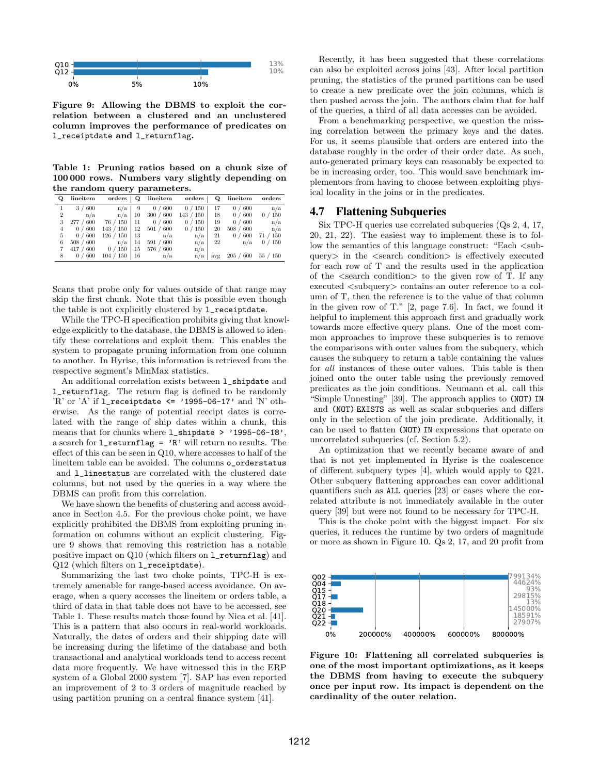

<span id="page-6-1"></span>Figure 9: Allowing the DBMS to exploit the correlation between a clustered and an unclustered column improves the performance of predicates on l\_receiptdate and l\_returnflag.

<span id="page-6-2"></span>Table 1: Pruning ratios based on a chunk size of 100 000 rows. Numbers vary slightly depending on the random query parameters.

| Q              | lineitem  | orders    | Q   | lineitem    | orders    | о   | lineitem   | orders                |  |
|----------------|-----------|-----------|-----|-------------|-----------|-----|------------|-----------------------|--|
|                | 3/600     | n/a       | 9   | 600<br>0/   | 0 / 150   | 17  | 0 / 600    | n/a                   |  |
| $\overline{2}$ | n/a       | n/a       | 10  | 300 / 600   | 143 / 150 | 18  | 0 / 600    | 150<br>$\theta$       |  |
| 3              | 277/600   | 76 / 150  | 11  | 0 / 600     | 150<br>0/ | 19  | 0 / 600    | n/a                   |  |
| 4              | 0/600     | 143 / 150 | 12  | 501 / 600   | 150<br>0/ | 20  | 508 / 600  | n/a                   |  |
| 5              | 0 / 600   | 126 / 150 | -13 | n/a         | n/a       | 21  | 600<br>0   | 150<br>71/            |  |
| 6              | 508 / 600 | n/a       | 14  | 600<br>591/ | n/a       | 22  | n/a        | $^{\prime}$ 150<br>0/ |  |
|                | 417 / 600 | 0/150     | 15  | 576/<br>600 | n/a       |     |            |                       |  |
| 8              | 0 / 600   | 104 / 150 | 16  | n/a         | n/a       | avg | 205<br>600 | 55/150                |  |

Scans that probe only for values outside of that range may skip the first chunk. Note that this is possible even though the table is not explicitly clustered by  $1$ <sub>receiptdate.</sub>

While the TPC-H specification prohibits giving that knowledge explicitly to the database, the DBMS is allowed to identify these correlations and exploit them. This enables the system to propagate pruning information from one column to another. In Hyrise, this information is retrieved from the respective segment's MinMax statistics.

An additional correlation exists between l\_shipdate and l\_returnflag. The return flag is defined to be randomly 'R' or 'A' if  $1$ \_receiptdate <= '1995-06-17' and 'N' otherwise. As the range of potential receipt dates is correlated with the range of ship dates within a chunk, this means that for chunks where l\_shipdate > '1995-06-18', a search for  $l$ <sub>returnflag</sub> = 'R' will return no results. The effect of this can be seen in Q10, where accesses to half of the lineitem table can be avoided. The columns o\_orderstatus and l\_linestatus are correlated with the clustered date columns, but not used by the queries in a way where the DBMS can profit from this correlation.

We have shown the benefits of clustering and access avoidance in Section [4.5.](#page-5-0) For the previous choke point, we have explicitly prohibited the DBMS from exploiting pruning information on columns without an explicit clustering. Figure [9](#page-6-1) shows that removing this restriction has a notable positive impact on Q10 (which filters on l\_returnflag) and Q12 (which filters on l\_receiptdate).

Summarizing the last two choke points, TPC-H is extremely amenable for range-based access avoidance. On average, when a query accesses the lineitem or orders table, a third of data in that table does not have to be accessed, see Table [1.](#page-6-2) These results match those found by Nica et al. [\[41\]](#page-13-14). This is a pattern that also occurs in real-world workloads. Naturally, the dates of orders and their shipping date will be increasing during the lifetime of the database and both transactional and analytical workloads tend to access recent data more frequently. We have witnessed this in the ERP system of a Global 2000 system [\[7\]](#page-12-4). SAP has even reported an improvement of 2 to 3 orders of magnitude reached by using partition pruning on a central finance system [\[41\]](#page-13-14).

Recently, it has been suggested that these correlations can also be exploited across joins [\[43\]](#page-13-15). After local partition pruning, the statistics of the pruned partitions can be used to create a new predicate over the join columns, which is then pushed across the join. The authors claim that for half of the queries, a third of all data accesses can be avoided.

From a benchmarking perspective, we question the missing correlation between the primary keys and the dates. For us, it seems plausible that orders are entered into the database roughly in the order of their order date. As such, auto-generated primary keys can reasonably be expected to be in increasing order, too. This would save benchmark implementors from having to choose between exploiting physical locality in the joins or in the predicates.

## <span id="page-6-0"></span>4.7 Flattening Subqueries

Six TPC-H queries use correlated subqueries (Qs 2, 4, 17, 20, 21, 22). The easiest way to implement these is to follow the semantics of this language construct: "Each  $\lt$ subquery $>$  in the  $\leq$  search condition $>$  is effectively executed for each row of T and the results used in the application of the  $\leq$ search condition $\geq$  to the given row of T. If any executed  $\langle$ subquery $\rangle$  contains an outer reference to a column of T, then the reference is to the value of that column in the given row of T." [\[2,](#page-12-13) page 7.6]. In fact, we found it helpful to implement this approach first and gradually work towards more effective query plans. One of the most common approaches to improve these subqueries is to remove the comparisons with outer values from the subquery, which causes the subquery to return a table containing the values for all instances of these outer values. This table is then joined onto the outer table using the previously removed predicates as the join conditions. Neumann et al. call this "Simple Unnesting" [\[39\]](#page-13-16). The approach applies to (NOT) IN and (NOT) EXISTS as well as scalar subqueries and differs only in the selection of the join predicate. Additionally, it can be used to flatten (NOT) IN expressions that operate on uncorrelated subqueries (cf. Section [5.2\)](#page-9-1).

An optimization that we recently became aware of and that is not yet implemented in Hyrise is the coalescence of different subquery types [\[4\]](#page-12-14), which would apply to Q21. Other subquery flattening approaches can cover additional quantifiers such as ALL queries [\[23\]](#page-12-15) or cases where the correlated attribute is not immediately available in the outer query [\[39\]](#page-13-16) but were not found to be necessary for TPC-H.

This is the choke point with the biggest impact. For six queries, it reduces the runtime by two orders of magnitude or more as shown in Figure [10.](#page-6-3) Qs 2, 17, and 20 profit from



<span id="page-6-3"></span>Figure 10: Flattening all correlated subqueries is one of the most important optimizations, as it keeps the DBMS from having to execute the subquery once per input row. Its impact is dependent on the cardinality of the outer relation.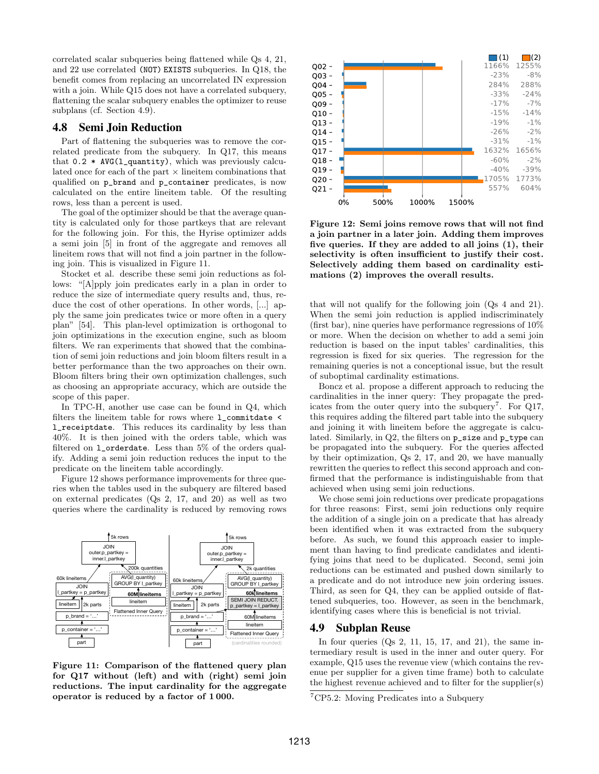correlated scalar subqueries being flattened while Qs 4, 21, and 22 use correlated (NOT) EXISTS subqueries. In Q18, the benefit comes from replacing an uncorrelated IN expression with a join. While Q15 does not have a correlated subquery, flattening the scalar subquery enables the optimizer to reuse subplans (cf. Section [4.9\)](#page-7-0).

## <span id="page-7-4"></span>4.8 Semi Join Reduction

Part of flattening the subqueries was to remove the correlated predicate from the subquery. In Q17, this means that 0.2 \* AVG(l\_quantity), which was previously calculated once for each of the part  $\times$  lineitem combinations that qualified on p\_brand and p\_container predicates, is now calculated on the entire lineitem table. Of the resulting rows, less than a percent is used.

The goal of the optimizer should be that the average quantity is calculated only for those partkeys that are relevant for the following join. For this, the Hyrise optimizer adds a semi join [\[5\]](#page-12-16) in front of the aggregate and removes all lineitem rows that will not find a join partner in the following join. This is visualized in Figure [11.](#page-7-1)

Stocket et al. describe these semi join reductions as follows: "[A]pply join predicates early in a plan in order to reduce the size of intermediate query results and, thus, reduce the cost of other operations. In other words, [...] apply the same join predicates twice or more often in a query plan" [\[54\]](#page-14-3). This plan-level optimization is orthogonal to join optimizations in the execution engine, such as bloom filters. We ran experiments that showed that the combination of semi join reductions and join bloom filters result in a better performance than the two approaches on their own. Bloom filters bring their own optimization challenges, such as choosing an appropriate accuracy, which are outside the scope of this paper.

In TPC-H, another use case can be found in Q4, which filters the lineitem table for rows where l\_commitdate < l\_receiptdate. This reduces its cardinality by less than 40%. It is then joined with the orders table, which was filtered on l\_orderdate. Less than 5% of the orders qualify. Adding a semi join reduction reduces the input to the predicate on the lineitem table accordingly.

Figure [12](#page-7-2) shows performance improvements for three queries when the tables used in the subquery are filtered based on external predicates (Qs 2, 17, and 20) as well as two queries where the cardinality is reduced by removing rows



<span id="page-7-1"></span>Figure 11: Comparison of the flattened query plan for Q17 without (left) and with (right) semi join reductions. The input cardinality for the aggregate operator is reduced by a factor of 1 000.



<span id="page-7-2"></span>Figure 12: Semi joins remove rows that will not find a join partner in a later join. Adding them improves five queries. If they are added to all joins (1), their selectivity is often insufficient to justify their cost. Selectively adding them based on cardinality estimations (2) improves the overall results.

that will not qualify for the following join (Qs 4 and 21). When the semi join reduction is applied indiscriminately (first bar), nine queries have performance regressions of 10% or more. When the decision on whether to add a semi join reduction is based on the input tables' cardinalities, this regression is fixed for six queries. The regression for the remaining queries is not a conceptional issue, but the result of suboptimal cardinality estimations.

Boncz et al. propose a different approach to reducing the cardinalities in the inner query: They propagate the pred-icates from the outer query into the subquery<sup>[7](#page-7-3)</sup>. For  $Q17$ , this requires adding the filtered part table into the subquery and joining it with lineitem before the aggregate is calculated. Similarly, in Q2, the filters on p\_size and p\_type can be propagated into the subquery. For the queries affected by their optimization, Qs 2, 17, and 20, we have manually rewritten the queries to reflect this second approach and confirmed that the performance is indistinguishable from that achieved when using semi join reductions.

We chose semi join reductions over predicate propagations for three reasons: First, semi join reductions only require the addition of a single join on a predicate that has already been identified when it was extracted from the subquery before. As such, we found this approach easier to implement than having to find predicate candidates and identifying joins that need to be duplicated. Second, semi join reductions can be estimated and pushed down similarly to a predicate and do not introduce new join ordering issues. Third, as seen for Q4, they can be applied outside of flattened subqueries, too. However, as seen in the benchmark, identifying cases where this is beneficial is not trivial.

## <span id="page-7-0"></span>4.9 Subplan Reuse

In four queries  $(Qs\ 2, 11, 15, 17, and 21)$ , the same intermediary result is used in the inner and outer query. For example, Q15 uses the revenue view (which contains the revenue per supplier for a given time frame) both to calculate the highest revenue achieved and to filter for the supplier(s)

<span id="page-7-3"></span><sup>7</sup>CP5.2: Moving Predicates into a Subquery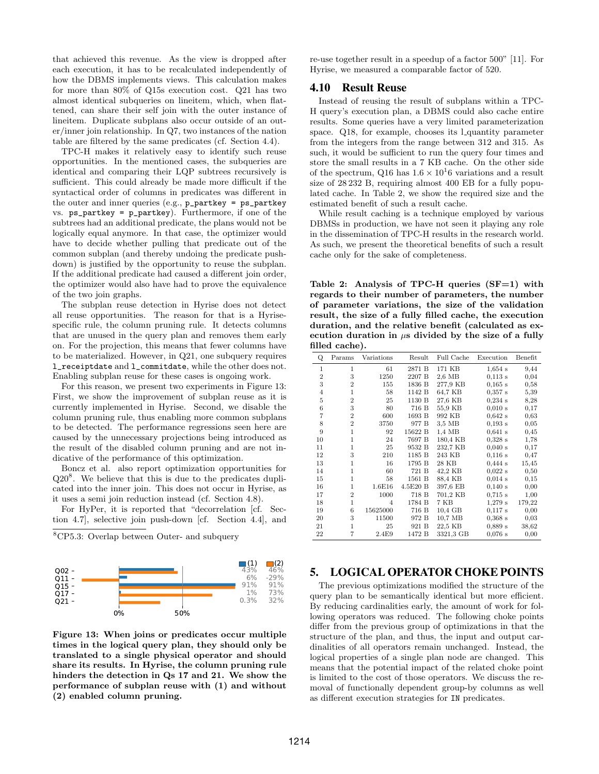that achieved this revenue. As the view is dropped after each execution, it has to be recalculated independently of how the DBMS implements views. This calculation makes for more than 80% of Q15s execution cost. Q21 has two almost identical subqueries on lineitem, which, when flattened, can share their self join with the outer instance of lineitem. Duplicate subplans also occur outside of an outer/inner join relationship. In Q7, two instances of the nation table are filtered by the same predicates (cf. Section [4.4\)](#page-4-2).

TPC-H makes it relatively easy to identify such reuse opportunities. In the mentioned cases, the subqueries are identical and comparing their LQP subtrees recursively is sufficient. This could already be made more difficult if the syntactical order of columns in predicates was different in the outer and inner queries (e.g., p\_partkey = ps\_partkey vs. ps\_partkey = p\_partkey). Furthermore, if one of the subtrees had an additional predicate, the plans would not be logically equal anymore. In that case, the optimizer would have to decide whether pulling that predicate out of the common subplan (and thereby undoing the predicate pushdown) is justified by the opportunity to reuse the subplan. If the additional predicate had caused a different join order, the optimizer would also have had to prove the equivalence of the two join graphs.

The subplan reuse detection in Hyrise does not detect all reuse opportunities. The reason for that is a Hyrisespecific rule, the column pruning rule. It detects columns that are unused in the query plan and removes them early on. For the projection, this means that fewer columns have to be materialized. However, in Q21, one subquery requires l\_receiptdate and l\_commitdate, while the other does not. Enabling subplan reuse for these cases is ongoing work.

For this reason, we present two experiments in Figure [13:](#page-8-1) First, we show the improvement of subplan reuse as it is currently implemented in Hyrise. Second, we disable the column pruning rule, thus enabling more common subplans to be detected. The performance regressions seen here are caused by the unnecessary projections being introduced as the result of the disabled column pruning and are not indicative of the performance of this optimization.

Boncz et al. also report optimization opportunities for  $Q20<sup>8</sup>$  $Q20<sup>8</sup>$  $Q20<sup>8</sup>$ . We believe that this is due to the predicates duplicated into the inner join. This does not occur in Hyrise, as it uses a semi join reduction instead (cf. Section [4.8\)](#page-7-4).

For HyPer, it is reported that "decorrelation [cf. Section [4.7\]](#page-6-0), selective join push-down [cf. Section [4.4\]](#page-4-2), and

<span id="page-8-2"></span><sup>8</sup>CP5.3: Overlap between Outer- and subquery



<span id="page-8-1"></span>Figure 13: When joins or predicates occur multiple times in the logical query plan, they should only be translated to a single physical operator and should share its results. In Hyrise, the column pruning rule hinders the detection in Qs 17 and 21. We show the performance of subplan reuse with (1) and without (2) enabled column pruning.

re-use together result in a speedup of a factor 500" [\[11\]](#page-12-0). For Hyrise, we measured a comparable factor of 520.

#### 4.10 Result Reuse

Instead of reusing the result of subplans within a TPC-H query's execution plan, a DBMS could also cache entire results. Some queries have a very limited parameterization space. Q18, for example, chooses its l\_quantity parameter from the integers from the range between 312 and 315. As such, it would be sufficient to run the query four times and store the small results in a 7 KB cache. On the other side of the spectrum, Q16 has  $1.6 \times 10^{16}$  variations and a result size of 28 232 B, requiring almost 400 EB for a fully populated cache. In Table [2,](#page-8-3) we show the required size and the estimated benefit of such a result cache.

While result caching is a technique employed by various DBMSs in production, we have not seen it playing any role in the dissemination of TPC-H results in the research world. As such, we present the theoretical benefits of such a result cache only for the sake of completeness.

<span id="page-8-3"></span>Table 2: Analysis of TPC-H queries  $(SF=1)$  with regards to their number of parameters, the number of parameter variations, the size of the validation result, the size of a fully filled cache, the execution duration, and the relative benefit (calculated as execution duration in  $\mu$ s divided by the size of a fully filled cache).

|                | ∕                 |          |                    |                              |         |
|----------------|-------------------|----------|--------------------|------------------------------|---------|
| Params         | Variations        | Result   | Full Cache         | Execution                    | Benefit |
| 1              | 61                | 2871 B   | 171 KB             | $1,654$ s                    | 9,44    |
| 3              | 1250              | 2207 B   | 2.6 MB             | $0.113$ s                    | 0,04    |
| $\overline{2}$ | 155               | 1836 B   | 277.9 KB           | 0.165 s                      | 0,58    |
| 1              | 58                | 1142 B   | 64.7 KB            | 0.357 s                      | 5,39    |
| $\overline{2}$ | 25                | 1130 B   | 27.6 KB            | 0,234 s                      | 8,28    |
| 3              | 80                | 716 B    | 55.9 KB            | 0.010 s                      | 0,17    |
| $\overline{2}$ | 600               | 1693 B   | 992 KB             | $0,642$ s                    | 0,63    |
| $\overline{2}$ | 3750              | 977 B    | 3.5 MB             | 0.193 s                      | 0,05    |
| 1              | 92                | 15622 B  | $1.4\;\mathrm{MB}$ | $0.641$ s                    | 0,45    |
| 1              | 24                | 7697 B   | 180,4 KB           | $0.328$ s                    | 1,78    |
| 1              | 25                | 9532 B   | 232.7 KB           | 0.040 s                      | 0.17    |
| 3              | 210               | 1185 B   | 243 KB             | 0.116 s                      | 0.47    |
| 1              | 16                | 1795 B   | 28 KB              | $0.444$ s                    | 15,45   |
| 1              | 60                | 721 B    | 42,2 KB            | $0.022$ s                    | 0,50    |
| 1              | 58                | 1561 B   |                    | 0.014 s                      | 0,15    |
| 1              | 1.6E16            | 4.5E20 B | 397.6 EB           | 0.140 s                      | 0,00    |
| $\overline{2}$ | 1000              | 718 B    | 701,2 KB           | 0.715 s                      | 1,00    |
|                | $\overline{4}$    |          |                    | 1,279 s                      | 179,22  |
| 6              | 15625000          |          | 10.4 GB            | $0.117$ s                    | 0,00    |
| 3              | 11500             | 972 B    | 10.7 MB            | 0.368 s                      | 0,03    |
| 1              | 25                | 921 B    | 22.5 KB            | $0,889$ s                    | 38,62   |
|                | 2.4E9             | 1472 B   |                    | 0.076 s                      | 0,00    |
|                | $\mathbf{1}$<br>7 |          | 1784 B<br>716 B    | 88,4 KB<br>7 KB<br>3321,3 GB |         |

# <span id="page-8-0"></span>5. LOGICAL OPERATOR CHOKE POINTS

The previous optimizations modified the structure of the query plan to be semantically identical but more efficient. By reducing cardinalities early, the amount of work for following operators was reduced. The following choke points differ from the previous group of optimizations in that the structure of the plan, and thus, the input and output cardinalities of all operators remain unchanged. Instead, the logical properties of a single plan node are changed. This means that the potential impact of the related choke point is limited to the cost of those operators. We discuss the removal of functionally dependent group-by columns as well as different execution strategies for IN predicates.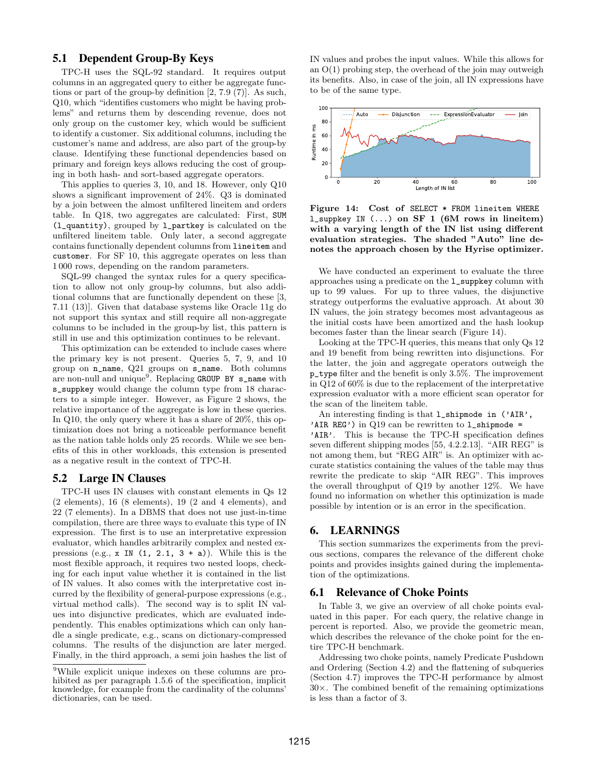# <span id="page-9-4"></span>5.1 Dependent Group-By Keys

TPC-H uses the SQL-92 standard. It requires output columns in an aggregated query to either be aggregate functions or part of the group-by definition [\[2,](#page-12-13) 7.9 (7)]. As such, Q10, which "identifies customers who might be having problems" and returns them by descending revenue, does not only group on the customer key, which would be sufficient to identify a customer. Six additional columns, including the customer's name and address, are also part of the group-by clause. Identifying these functional dependencies based on primary and foreign keys allows reducing the cost of grouping in both hash- and sort-based aggregate operators.

This applies to queries 3, 10, and 18. However, only Q10 shows a significant improvement of 24%. Q3 is dominated by a join between the almost unfiltered lineitem and orders table. In Q18, two aggregates are calculated: First, SUM (l\_quantity), grouped by l\_partkey is calculated on the unfiltered lineitem table. Only later, a second aggregate contains functionally dependent columns from lineitem and customer. For SF 10, this aggregate operates on less than 1 000 rows, depending on the random parameters.

SQL-99 changed the syntax rules for a query specification to allow not only group-by columns, but also additional columns that are functionally dependent on these [\[3,](#page-12-17) 7.11 (13)]. Given that database systems like Oracle 11g do not support this syntax and still require all non-aggregate columns to be included in the group-by list, this pattern is still in use and this optimization continues to be relevant.

This optimization can be extended to include cases where the primary key is not present. Queries 5, 7, 9, and 10 group on n\_name, Q21 groups on s\_name. Both columns are non-null and unique<sup>[9](#page-9-2)</sup>. Replacing GROUP BY s\_name with s\_suppkey would change the column type from 18 characters to a simple integer. However, as Figure [2](#page-2-1) shows, the relative importance of the aggregate is low in these queries. In Q10, the only query where it has a share of 20%, this optimization does not bring a noticeable performance benefit as the nation table holds only 25 records. While we see benefits of this in other workloads, this extension is presented as a negative result in the context of TPC-H.

#### <span id="page-9-1"></span>5.2 Large IN Clauses

TPC-H uses IN clauses with constant elements in Qs 12 (2 elements), 16 (8 elements), 19 (2 and 4 elements), and 22 (7 elements). In a DBMS that does not use just-in-time compilation, there are three ways to evaluate this type of IN expression. The first is to use an interpretative expression evaluator, which handles arbitrarily complex and nested expressions (e.g.,  $x \in \mathbb{N}$  (1, 2.1, 3 + a)). While this is the most flexible approach, it requires two nested loops, checking for each input value whether it is contained in the list of IN values. It also comes with the interpretative cost incurred by the flexibility of general-purpose expressions (e.g., virtual method calls). The second way is to split IN values into disjunctive predicates, which are evaluated independently. This enables optimizations which can only handle a single predicate, e.g., scans on dictionary-compressed columns. The results of the disjunction are later merged. Finally, in the third approach, a semi join hashes the list of

IN values and probes the input values. While this allows for an  $O(1)$  probing step, the overhead of the join may outweigh its benefits. Also, in case of the join, all IN expressions have to be of the same type.



<span id="page-9-3"></span>Figure 14: Cost of SELECT \* FROM lineitem WHERE l\_suppkey IN (...) on SF 1 (6M rows in lineitem) with a varying length of the IN list using different evaluation strategies. The shaded "Auto" line denotes the approach chosen by the Hyrise optimizer.

We have conducted an experiment to evaluate the three approaches using a predicate on the l\_suppkey column with up to 99 values. For up to three values, the disjunctive strategy outperforms the evaluative approach. At about 30 IN values, the join strategy becomes most advantageous as the initial costs have been amortized and the hash lookup becomes faster than the linear search (Figure [14\)](#page-9-3).

Looking at the TPC-H queries, this means that only Qs 12 and 19 benefit from being rewritten into disjunctions. For the latter, the join and aggregate operators outweigh the p\_type filter and the benefit is only 3.5%. The improvement in Q12 of 60% is due to the replacement of the interpretative expression evaluator with a more efficient scan operator for the scan of the lineitem table.

An interesting finding is that l\_shipmode in ('AIR', 'AIR REG') in  $Q19$  can be rewritten to  $1$ \_shipmode = 'AIR'. This is because the TPC-H specification defines seven different shipping modes [\[55,](#page-14-4) 4.2.2.13]. "AIR REG" is not among them, but "REG AIR" is. An optimizer with accurate statistics containing the values of the table may thus rewrite the predicate to skip "AIR REG". This improves the overall throughput of Q19 by another 12%. We have found no information on whether this optimization is made possible by intention or is an error in the specification.

# <span id="page-9-0"></span>6. LEARNINGS

This section summarizes the experiments from the previous sections, compares the relevance of the different choke points and provides insights gained during the implementation of the optimizations.

#### 6.1 Relevance of Choke Points

In Table [3,](#page-10-1) we give an overview of all choke points evaluated in this paper. For each query, the relative change in percent is reported. Also, we provide the geometric mean, which describes the relevance of the choke point for the entire TPC-H benchmark.

Addressing two choke points, namely Predicate Pushdown and Ordering (Section [4.2\)](#page-4-3) and the flattening of subqueries (Section [4.7\)](#page-6-0) improves the TPC-H performance by almost  $30\times$ . The combined benefit of the remaining optimizations is less than a factor of 3.

<span id="page-9-2"></span><sup>9</sup>While explicit unique indexes on these columns are prohibited as per paragraph 1.5.6 of the specification, implicit knowledge, for example from the cardinality of the columns' dictionaries, can be used.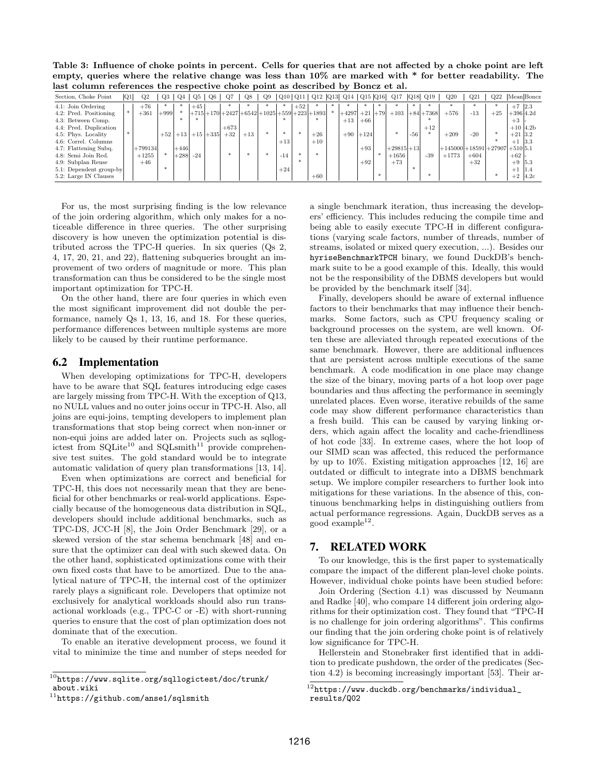<span id="page-10-1"></span>Table 3: Influence of choke points in percent. Cells for queries that are not affected by a choke point are left empty, queries where the relative change was less than  $10\%$  are marked with  $*$  for better readability. The last column references the respective choke point as described by Boncz et al.

| Section, Choke Point    | Q1 | Q2        | Q3     | Q <sub>4</sub> | $Q_{.}5$ | Q6           | O7     | Q8                                              | Q9 |        |       |           | Q10   Q11   Q12  Q13  Q14   Q15  Q16  Q17 |           |        |             |       | $ Q18 $ $ Q19 $ | Q20                                 | Q21    | Q22   |             | Mean Boncz |
|-------------------------|----|-----------|--------|----------------|----------|--------------|--------|-------------------------------------------------|----|--------|-------|-----------|-------------------------------------------|-----------|--------|-------------|-------|-----------------|-------------------------------------|--------|-------|-------------|------------|
| 4.1: Join Ordering      |    | $+76$     |        |                | $+45$    |              |        |                                                 |    |        | $+52$ |           |                                           |           |        |             |       |                 |                                     |        |       | $+7$ 2.3    |            |
| 4.2: Pred. Positioning  |    | $+361$    | $+999$ |                |          |              |        | $ +715 +170 +2427 +6542 +1025 +559 +223 +1893 $ |    |        |       |           | $+4297$                                   | $+21$ +79 |        | $+103$      |       | $+84+7368$      | $+576$                              | $-13$  | $+25$ | $+396 4.2d$ |            |
| 4.3: Between Comp.      |    |           |        |                |          |              |        |                                                 |    |        |       |           | $+13$                                     | $+66$     |        |             |       |                 |                                     |        |       | $+3$ -      |            |
| 4.4: Pred. Duplication  |    |           |        |                |          |              | $+673$ |                                                 |    |        |       |           |                                           |           |        |             |       | $+12$           |                                     |        |       |             | $+10$ 4.2b |
| 4.5: Phys. Locality     |    |           | $+52$  | $+13$          |          | $+15$ $+335$ | $+32$  | $+13$                                           |    | $\ast$ |       | $+26$     | $+90$                                     | $+124$    |        |             | $-56$ |                 | $+209$                              | $-20$  |       | $+21$ 3.2   |            |
| 4.6: Correl. Columns    |    |           |        |                |          |              |        |                                                 |    | $+13$  |       | $+10^{-}$ |                                           |           |        |             |       |                 |                                     |        |       | $+1$ 3.3    |            |
| 4.7: Flattening Subq.   |    | $+799134$ |        | $+446$         |          |              |        |                                                 |    |        |       |           |                                           | $+93$     |        | $+29815+13$ |       |                 | $+145000 + 18591 + 27907 + 51015.1$ |        |       |             |            |
| 4.8: Semi Join Red.     |    | $+1255$   |        | $+288$         | $-24$    |              | ×.     |                                                 |    | $-14$  |       | $\ast$    |                                           |           |        | $+1656$     |       | $-39$           | $+1773$                             | $+604$ |       | $+62$       |            |
| 4.9: Subplan Reuse      |    | $+46$     |        |                |          |              |        |                                                 |    |        |       |           |                                           | $+92$     |        | $+73$       |       |                 |                                     | $+32$  |       | $+9$ 5.3    |            |
| 5.1: Dependent group-by |    |           |        |                |          |              |        |                                                 |    | $+24$  |       |           |                                           |           |        |             |       |                 |                                     |        |       | $+1$ 1.4    |            |
| 5.2: Large IN Clauses   |    |           |        |                |          |              |        |                                                 |    |        |       | $+60$     |                                           |           | $\ast$ |             |       |                 |                                     |        |       |             | $+2$ 4.2c  |

For us, the most surprising finding is the low relevance of the join ordering algorithm, which only makes for a noticeable difference in three queries. The other surprising discovery is how uneven the optimization potential is distributed across the TPC-H queries. In six queries (Qs 2, 4, 17, 20, 21, and 22), flattening subqueries brought an improvement of two orders of magnitude or more. This plan transformation can thus be considered to be the single most important optimization for TPC-H.

On the other hand, there are four queries in which even the most significant improvement did not double the performance, namely Qs 1, 13, 16, and 18. For these queries, performance differences between multiple systems are more likely to be caused by their runtime performance.

## 6.2 Implementation

When developing optimizations for TPC-H, developers have to be aware that SQL features introducing edge cases are largely missing from TPC-H. With the exception of Q13, no NULL values and no outer joins occur in TPC-H. Also, all joins are equi-joins, tempting developers to implement plan transformations that stop being correct when non-inner or non-equi joins are added later on. Projects such as sqllogictest from  $\text{SQLite}^{10}$  $\text{SQLite}^{10}$  $\text{SQLite}^{10}$  and  $\text{SQLsmith}^{11}$  $\text{SQLsmith}^{11}$  $\text{SQLsmith}^{11}$  provide comprehensive test suites. The gold standard would be to integrate automatic validation of query plan transformations [\[13,](#page-12-18) [14\]](#page-12-19).

Even when optimizations are correct and beneficial for TPC-H, this does not necessarily mean that they are beneficial for other benchmarks or real-world applications. Especially because of the homogeneous data distribution in SQL, developers should include additional benchmarks, such as TPC-DS, JCC-H [\[8\]](#page-12-20), the Join Order Benchmark [\[29\]](#page-13-17), or a skewed version of the star schema benchmark [\[48\]](#page-13-18) and ensure that the optimizer can deal with such skewed data. On the other hand, sophisticated optimizations come with their own fixed costs that have to be amortized. Due to the analytical nature of TPC-H, the internal cost of the optimizer rarely plays a significant role. Developers that optimize not exclusively for analytical workloads should also run transactional workloads (e.g., TPC-C or -E) with short-running queries to ensure that the cost of plan optimization does not dominate that of the execution.

To enable an iterative development process, we found it vital to minimize the time and number of steps needed for a single benchmark iteration, thus increasing the developers' efficiency. This includes reducing the compile time and being able to easily execute TPC-H in different configurations (varying scale factors, number of threads, number of streams, isolated or mixed query execution, ...). Besides our hyriseBenchmarkTPCH binary, we found DuckDB's benchmark suite to be a good example of this. Ideally, this would not be the responsibility of the DBMS developers but would be provided by the benchmark itself [\[34\]](#page-13-19).

Finally, developers should be aware of external influence factors to their benchmarks that may influence their benchmarks. Some factors, such as CPU frequency scaling or background processes on the system, are well known. Often these are alleviated through repeated executions of the same benchmark. However, there are additional influences that are persistent across multiple executions of the same benchmark. A code modification in one place may change the size of the binary, moving parts of a hot loop over page boundaries and thus affecting the performance in seemingly unrelated places. Even worse, iterative rebuilds of the same code may show different performance characteristics than a fresh build. This can be caused by varying linking orders, which again affect the locality and cache-friendliness of hot code [\[33\]](#page-13-20). In extreme cases, where the hot loop of our SIMD scan was affected, this reduced the performance by up to 10%. Existing mitigation approaches [\[12,](#page-12-21) [16\]](#page-12-22) are outdated or difficult to integrate into a DBMS benchmark setup. We implore compiler researchers to further look into mitigations for these variations. In the absence of this, continuous benchmarking helps in distinguishing outliers from actual performance regressions. Again, DuckDB serves as a  $\text{good example}^{12}$  $\text{good example}^{12}$  $\text{good example}^{12}$ .

# <span id="page-10-0"></span>7. RELATED WORK

To our knowledge, this is the first paper to systematically compare the impact of the different plan-level choke points. However, individual choke points have been studied before:

Join Ordering (Section [4.1\)](#page-3-5) was discussed by Neumann and Radke [\[40\]](#page-13-21), who compare 14 different join ordering algorithms for their optimization cost. They found that "TPC-H is no challenge for join ordering algorithms". This confirms our finding that the join ordering choke point is of relatively low significance for TPC-H.

Hellerstein and Stonebraker first identified that in addition to predicate pushdown, the order of the predicates (Section [4.2\)](#page-4-3) is becoming increasingly important [\[53\]](#page-13-22). Their ar-

<span id="page-10-2"></span> $^{10}$ [https://www.sqlite.org/sqllogictest/doc/trunk/](https://www.sqlite.org/sqllogictest/doc/trunk/about.wiki) [about.wiki](https://www.sqlite.org/sqllogictest/doc/trunk/about.wiki)

<span id="page-10-3"></span> $^{11}$ <https://github.com/anse1/sqlsmith>

<span id="page-10-4"></span> $^{12}$ [https://www.duckdb.org/benchmarks/individual\\_](https://www.duckdb.org/benchmarks/individual_results/Q02) [results/Q02](https://www.duckdb.org/benchmarks/individual_results/Q02)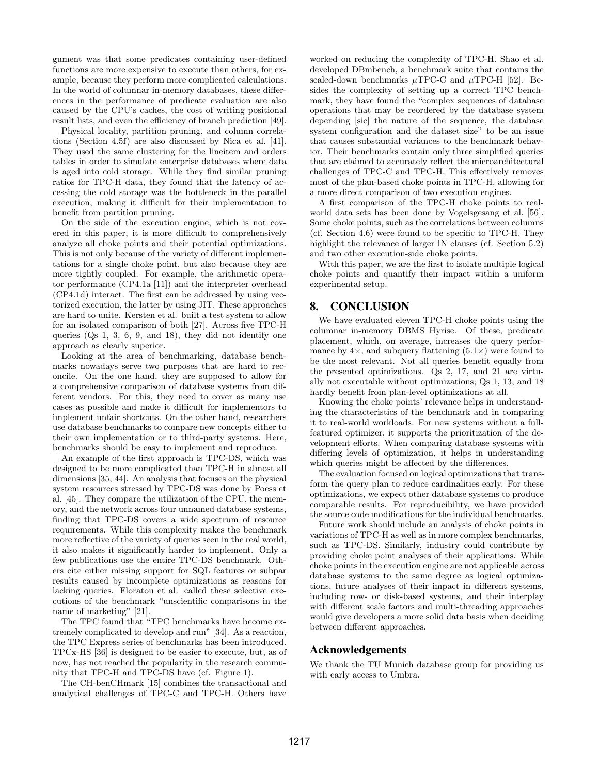gument was that some predicates containing user-defined functions are more expensive to execute than others, for example, because they perform more complicated calculations. In the world of columnar in-memory databases, these differences in the performance of predicate evaluation are also caused by the CPU's caches, the cost of writing positional result lists, and even the efficiency of branch prediction [\[49\]](#page-13-11).

Physical locality, partition pruning, and column correlations (Section [4.5f](#page-5-0)) are also discussed by Nica et al. [\[41\]](#page-13-14). They used the same clustering for the lineitem and orders tables in order to simulate enterprise databases where data is aged into cold storage. While they find similar pruning ratios for TPC-H data, they found that the latency of accessing the cold storage was the bottleneck in the parallel execution, making it difficult for their implementation to benefit from partition pruning.

On the side of the execution engine, which is not covered in this paper, it is more difficult to comprehensively analyze all choke points and their potential optimizations. This is not only because of the variety of different implementations for a single choke point, but also because they are more tightly coupled. For example, the arithmetic operator performance (CP4.1a [\[11\]](#page-12-0)) and the interpreter overhead (CP4.1d) interact. The first can be addressed by using vectorized execution, the latter by using JIT. These approaches are hard to unite. Kersten et al. built a test system to allow for an isolated comparison of both [\[27\]](#page-13-23). Across five TPC-H queries (Qs 1, 3, 6, 9, and 18), they did not identify one approach as clearly superior.

Looking at the area of benchmarking, database benchmarks nowadays serve two purposes that are hard to reconcile. On the one hand, they are supposed to allow for a comprehensive comparison of database systems from different vendors. For this, they need to cover as many use cases as possible and make it difficult for implementors to implement unfair shortcuts. On the other hand, researchers use database benchmarks to compare new concepts either to their own implementation or to third-party systems. Here, benchmarks should be easy to implement and reproduce.

An example of the first approach is TPC-DS, which was designed to be more complicated than TPC-H in almost all dimensions [\[35,](#page-13-0) [44\]](#page-13-24). An analysis that focuses on the physical system resources stressed by TPC-DS was done by Poess et al. [\[45\]](#page-13-25). They compare the utilization of the CPU, the memory, and the network across four unnamed database systems, finding that TPC-DS covers a wide spectrum of resource requirements. While this complexity makes the benchmark more reflective of the variety of queries seen in the real world, it also makes it significantly harder to implement. Only a few publications use the entire TPC-DS benchmark. Others cite either missing support for SQL features or subpar results caused by incomplete optimizations as reasons for lacking queries. Floratou et al. called these selective executions of the benchmark "unscientific comparisons in the name of marketing" [\[21\]](#page-12-23).

The TPC found that "TPC benchmarks have become extremely complicated to develop and run" [\[34\]](#page-13-19). As a reaction, the TPC Express series of benchmarks has been introduced. TPCx-HS [\[36\]](#page-13-26) is designed to be easier to execute, but, as of now, has not reached the popularity in the research community that TPC-H and TPC-DS have (cf. Figure [1\)](#page-0-0).

The CH-benCHmark [\[15\]](#page-12-24) combines the transactional and analytical challenges of TPC-C and TPC-H. Others have worked on reducing the complexity of TPC-H. Shao et al. developed DBmbench, a benchmark suite that contains the scaled-down benchmarks  $\mu$ TPC-C and  $\mu$ TPC-H [\[52\]](#page-13-27). Besides the complexity of setting up a correct TPC benchmark, they have found the "complex sequences of database operations that may be reordered by the database system depending [sic] the nature of the sequence, the database system configuration and the dataset size" to be an issue that causes substantial variances to the benchmark behavior. Their benchmarks contain only three simplified queries that are claimed to accurately reflect the microarchitectural challenges of TPC-C and TPC-H. This effectively removes most of the plan-based choke points in TPC-H, allowing for a more direct comparison of two execution engines.

A first comparison of the TPC-H choke points to realworld data sets has been done by Vogelsgesang et al. [\[56\]](#page-14-0). Some choke points, such as the correlations between columns (cf. Section [4.6\)](#page-5-4) were found to be specific to TPC-H. They highlight the relevance of larger IN clauses (cf. Section [5.2\)](#page-9-1) and two other execution-side choke points.

With this paper, we are the first to isolate multiple logical choke points and quantify their impact within a uniform experimental setup.

# 8. CONCLUSION

We have evaluated eleven TPC-H choke points using the columnar in-memory DBMS Hyrise. Of these, predicate placement, which, on average, increases the query performance by  $4\times$ , and subquery flattening  $(5.1\times)$  were found to be the most relevant. Not all queries benefit equally from the presented optimizations. Qs 2, 17, and 21 are virtually not executable without optimizations; Qs 1, 13, and 18 hardly benefit from plan-level optimizations at all.

Knowing the choke points' relevance helps in understanding the characteristics of the benchmark and in comparing it to real-world workloads. For new systems without a fullfeatured optimizer, it supports the prioritization of the development efforts. When comparing database systems with differing levels of optimization, it helps in understanding which queries might be affected by the differences.

The evaluation focused on logical optimizations that transform the query plan to reduce cardinalities early. For these optimizations, we expect other database systems to produce comparable results. For reproducibility, we have provided the source code modifications for the individual benchmarks.

Future work should include an analysis of choke points in variations of TPC-H as well as in more complex benchmarks, such as TPC-DS. Similarly, industry could contribute by providing choke point analyses of their applications. While choke points in the execution engine are not applicable across database systems to the same degree as logical optimizations, future analyses of their impact in different systems, including row- or disk-based systems, and their interplay with different scale factors and multi-threading approaches would give developers a more solid data basis when deciding between different approaches.

# Acknowledgements

We thank the TU Munich database group for providing us with early access to Umbra.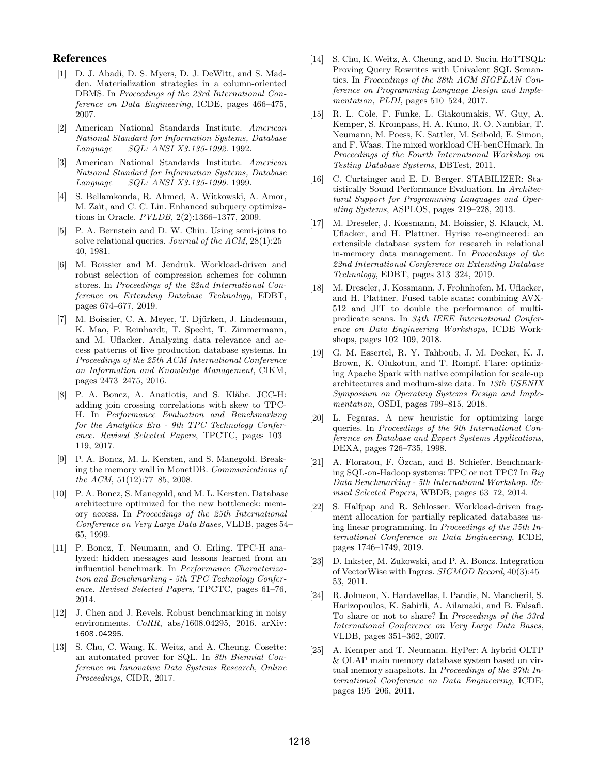# References

- <span id="page-12-5"></span>[1] D. J. Abadi, D. S. Myers, D. J. DeWitt, and S. Madden. Materialization strategies in a column-oriented DBMS. In Proceedings of the 23rd International Conference on Data Engineering, ICDE, pages 466–475, 2007.
- <span id="page-12-13"></span>[2] American National Standards Institute. American National Standard for Information Systems, Database Language — SQL: ANSI X3.135-1992. 1992.
- <span id="page-12-17"></span>[3] American National Standards Institute. American National Standard for Information Systems, Database  $Language - SQL: ANSI X3.135-1999. 1999.$
- <span id="page-12-14"></span>[4] S. Bellamkonda, R. Ahmed, A. Witkowski, A. Amor, M. Zaït, and C. C. Lin. Enhanced subquery optimizations in Oracle. PVLDB, 2(2):1366–1377, 2009.
- <span id="page-12-16"></span>[5] P. A. Bernstein and D. W. Chiu. Using semi-joins to solve relational queries. Journal of the ACM, 28(1):25– 40, 1981.
- <span id="page-12-2"></span>[6] M. Boissier and M. Jendruk. Workload-driven and robust selection of compression schemes for column stores. In Proceedings of the 22nd International Conference on Extending Database Technology, EDBT, pages 674–677, 2019.
- <span id="page-12-4"></span>[7] M. Boissier, C. A. Meyer, T. Djürken, J. Lindemann, K. Mao, P. Reinhardt, T. Specht, T. Zimmermann, and M. Uflacker. Analyzing data relevance and access patterns of live production database systems. In Proceedings of the 25th ACM International Conference on Information and Knowledge Management, CIKM, pages 2473–2475, 2016.
- <span id="page-12-20"></span>[8] P. A. Boncz, A. Anatiotis, and S. Kläbe. JCC-H: adding join crossing correlations with skew to TPC-H. In Performance Evaluation and Benchmarking for the Analytics Era - 9th TPC Technology Conference. Revised Selected Papers, TPCTC, pages 103– 119, 2017.
- <span id="page-12-7"></span>[9] P. A. Boncz, M. L. Kersten, and S. Manegold. Breaking the memory wall in MonetDB. Communications of the ACM, 51(12):77–85, 2008.
- <span id="page-12-6"></span>[10] P. A. Boncz, S. Manegold, and M. L. Kersten. Database architecture optimized for the new bottleneck: memory access. In Proceedings of the 25th International Conference on Very Large Data Bases, VLDB, pages 54– 65, 1999.
- <span id="page-12-0"></span>[11] P. Boncz, T. Neumann, and O. Erling. TPC-H analyzed: hidden messages and lessons learned from an influential benchmark. In Performance Characterization and Benchmarking - 5th TPC Technology Conference. Revised Selected Papers, TPCTC, pages 61–76, 2014.
- <span id="page-12-21"></span>[12] J. Chen and J. Revels. Robust benchmarking in noisy environments. CoRR, abs/1608.04295, 2016. arXiv: [1608.04295](https://arxiv.org/abs/1608.04295).
- <span id="page-12-18"></span>[13] S. Chu, C. Wang, K. Weitz, and A. Cheung. Cosette: an automated prover for SQL. In 8th Biennial Conference on Innovative Data Systems Research, Online Proceedings, CIDR, 2017.
- <span id="page-12-19"></span>[14] S. Chu, K. Weitz, A. Cheung, and D. Suciu. HoTTSQL: Proving Query Rewrites with Univalent SQL Semantics. In Proceedings of the 38th ACM SIGPLAN Conference on Programming Language Design and Implementation, PLDI, pages 510–524, 2017.
- <span id="page-12-24"></span>[15] R. L. Cole, F. Funke, L. Giakoumakis, W. Guy, A. Kemper, S. Krompass, H. A. Kuno, R. O. Nambiar, T. Neumann, M. Poess, K. Sattler, M. Seibold, E. Simon, and F. Waas. The mixed workload CH-benCHmark. In Proceedings of the Fourth International Workshop on Testing Database Systems, DBTest, 2011.
- <span id="page-12-22"></span>[16] C. Curtsinger and E. D. Berger. STABILIZER: Statistically Sound Performance Evaluation. In Architectural Support for Programming Languages and Operating Systems, ASPLOS, pages 219–228, 2013.
- <span id="page-12-1"></span>[17] M. Dreseler, J. Kossmann, M. Boissier, S. Klauck, M. Uflacker, and H. Plattner. Hyrise re-engineered: an extensible database system for research in relational in-memory data management. In Proceedings of the 22nd International Conference on Extending Database Technology, EDBT, pages 313–324, 2019.
- <span id="page-12-12"></span>[18] M. Dreseler, J. Kossmann, J. Frohnhofen, M. Uflacker, and H. Plattner. Fused table scans: combining AVX-512 and JIT to double the performance of multipredicate scans. In 34th IEEE International Conference on Data Engineering Workshops, ICDE Workshops, pages 102–109, 2018.
- <span id="page-12-9"></span>[19] G. M. Essertel, R. Y. Tahboub, J. M. Decker, K. J. Brown, K. Olukotun, and T. Rompf. Flare: optimizing Apache Spark with native compilation for scale-up architectures and medium-size data. In 13th USENIX Symposium on Operating Systems Design and Implementation, OSDI, pages 799–815, 2018.
- <span id="page-12-11"></span>[20] L. Fegaras. A new heuristic for optimizing large queries. In Proceedings of the 9th International Conference on Database and Expert Systems Applications, DEXA, pages 726–735, 1998.
- <span id="page-12-23"></span>[21] A. Floratou, F. Özcan, and B. Schiefer. Benchmarking SQL-on-Hadoop systems: TPC or not TPC? In Big Data Benchmarking - 5th International Workshop. Revised Selected Papers, WBDB, pages 63–72, 2014.
- <span id="page-12-3"></span>[22] S. Halfpap and R. Schlosser. Workload-driven fragment allocation for partially replicated databases using linear programming. In Proceedings of the 35th International Conference on Data Engineering, ICDE, pages 1746–1749, 2019.
- <span id="page-12-15"></span>[23] D. Inkster, M. Zukowski, and P. A. Boncz. Integration of VectorWise with Ingres. SIGMOD Record, 40(3):45– 53, 2011.
- <span id="page-12-10"></span>[24] R. Johnson, N. Hardavellas, I. Pandis, N. Mancheril, S. Harizopoulos, K. Sabirli, A. Ailamaki, and B. Falsafi. To share or not to share? In Proceedings of the 33rd International Conference on Very Large Data Bases, VLDB, pages 351–362, 2007.
- <span id="page-12-8"></span>[25] A. Kemper and T. Neumann. HyPer: A hybrid OLTP & OLAP main memory database system based on virtual memory snapshots. In Proceedings of the 27th International Conference on Data Engineering, ICDE, pages 195–206, 2011.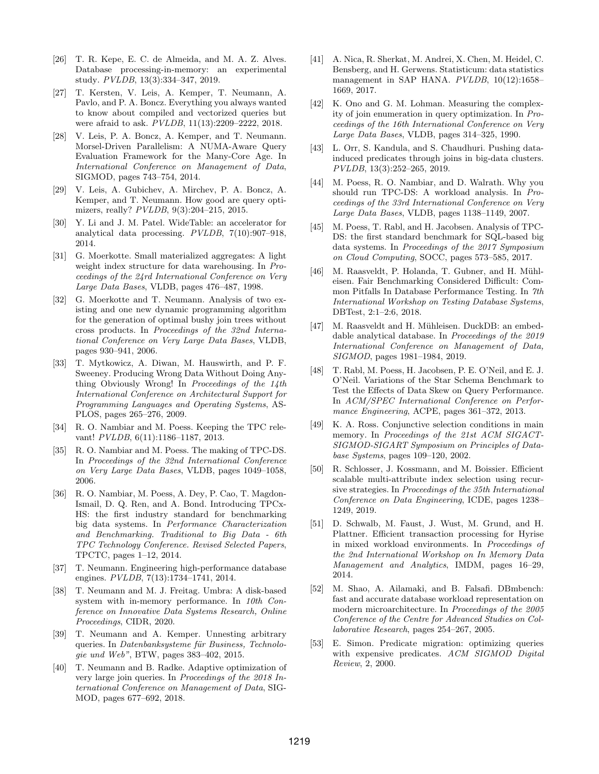- <span id="page-13-12"></span>[26] T. R. Kepe, E. C. de Almeida, and M. A. Z. Alves. Database processing-in-memory: an experimental study. PVLDB, 13(3):334–347, 2019.
- <span id="page-13-23"></span>[27] T. Kersten, V. Leis, A. Kemper, T. Neumann, A. Pavlo, and P. A. Boncz. Everything you always wanted to know about compiled and vectorized queries but were afraid to ask. PVLDB, 11(13):2209–2222, 2018.
- <span id="page-13-3"></span>[28] V. Leis, P. A. Boncz, A. Kemper, and T. Neumann. Morsel-Driven Parallelism: A NUMA-Aware Query Evaluation Framework for the Many-Core Age. In International Conference on Management of Data, SIGMOD, pages 743–754, 2014.
- <span id="page-13-17"></span>[29] V. Leis, A. Gubichev, A. Mirchev, P. A. Boncz, A. Kemper, and T. Neumann. How good are query optimizers, really?  $PVLDB$ , 9(3):204-215, 2015.
- <span id="page-13-13"></span>[30] Y. Li and J. M. Patel. WideTable: an accelerator for analytical data processing. PVLDB, 7(10):907–918, 2014.
- <span id="page-13-4"></span>[31] G. Moerkotte. Small materialized aggregates: A light weight index structure for data warehousing. In Proceedings of the 24rd International Conference on Very Large Data Bases, VLDB, pages 476–487, 1998.
- <span id="page-13-9"></span>[32] G. Moerkotte and T. Neumann. Analysis of two existing and one new dynamic programming algorithm for the generation of optimal bushy join trees without cross products. In Proceedings of the 32nd International Conference on Very Large Data Bases, VLDB, pages 930–941, 2006.
- <span id="page-13-20"></span>[33] T. Mytkowicz, A. Diwan, M. Hauswirth, and P. F. Sweeney. Producing Wrong Data Without Doing Anything Obviously Wrong! In Proceedings of the 14th International Conference on Architectural Support for Programming Languages and Operating Systems, AS-PLOS, pages 265–276, 2009.
- <span id="page-13-19"></span>[34] R. O. Nambiar and M. Poess. Keeping the TPC relevant! PVLDB, 6(11):1186–1187, 2013.
- <span id="page-13-0"></span>[35] R. O. Nambiar and M. Poess. The making of TPC-DS. In Proceedings of the 32nd International Conference on Very Large Data Bases, VLDB, pages 1049–1058, 2006.
- <span id="page-13-26"></span>[36] R. O. Nambiar, M. Poess, A. Dey, P. Cao, T. Magdon-Ismail, D. Q. Ren, and A. Bond. Introducing TPCx-HS: the first industry standard for benchmarking big data systems. In Performance Characterization and Benchmarking. Traditional to Big Data - 6th TPC Technology Conference. Revised Selected Papers, TPCTC, pages 1–12, 2014.
- <span id="page-13-10"></span>[37] T. Neumann. Engineering high-performance database engines. PVLDB, 7(13):1734–1741, 2014.
- <span id="page-13-7"></span>[38] T. Neumann and M. J. Freitag. Umbra: A disk-based system with in-memory performance. In 10th Conference on Innovative Data Systems Research, Online Proceedings, CIDR, 2020.
- <span id="page-13-16"></span>[39] T. Neumann and A. Kemper. Unnesting arbitrary queries. In Datenbanksysteme für Business, Technologie und Web", BTW, pages 383–402, 2015.
- <span id="page-13-21"></span>[40] T. Neumann and B. Radke. Adaptive optimization of very large join queries. In Proceedings of the 2018 International Conference on Management of Data, SIG-MOD, pages 677–692, 2018.
- <span id="page-13-14"></span>[41] A. Nica, R. Sherkat, M. Andrei, X. Chen, M. Heidel, C. Bensberg, and H. Gerwens. Statisticum: data statistics management in SAP HANA. PVLDB, 10(12):1658– 1669, 2017.
- <span id="page-13-8"></span>[42] K. Ono and G. M. Lohman. Measuring the complexity of join enumeration in query optimization. In Proceedings of the 16th International Conference on Very Large Data Bases, VLDB, pages 314–325, 1990.
- <span id="page-13-15"></span>[43] L. Orr, S. Kandula, and S. Chaudhuri. Pushing datainduced predicates through joins in big-data clusters. PVLDB, 13(3):252–265, 2019.
- <span id="page-13-24"></span>[44] M. Poess, R. O. Nambiar, and D. Walrath. Why you should run TPC-DS: A workload analysis. In Proceedings of the 33rd International Conference on Very Large Data Bases, VLDB, pages 1138–1149, 2007.
- <span id="page-13-25"></span>[45] M. Poess, T. Rabl, and H. Jacobsen. Analysis of TPC-DS: the first standard benchmark for SQL-based big data systems. In Proceedings of the 2017 Symposium on Cloud Computing, SOCC, pages 573–585, 2017.
- <span id="page-13-1"></span>[46] M. Raasveldt, P. Holanda, T. Gubner, and H. Mühleisen. Fair Benchmarking Considered Difficult: Common Pitfalls In Database Performance Testing. In 7th International Workshop on Testing Database Systems, DBTest, 2:1–2:6, 2018.
- <span id="page-13-6"></span>[47] M. Raasveldt and H. Mühleisen. DuckDB: an embeddable analytical database. In Proceedings of the 2019 International Conference on Management of Data, SIGMOD, pages 1981–1984, 2019.
- <span id="page-13-18"></span>[48] T. Rabl, M. Poess, H. Jacobsen, P. E. O'Neil, and E. J. O'Neil. Variations of the Star Schema Benchmark to Test the Effects of Data Skew on Query Performance. In ACM/SPEC International Conference on Performance Engineering, ACPE, pages 361–372, 2013.
- <span id="page-13-11"></span>[49] K. A. Ross. Conjunctive selection conditions in main memory. In Proceedings of the 21st ACM SIGACT-SIGMOD-SIGART Symposium on Principles of Database Systems, pages 109–120, 2002.
- <span id="page-13-2"></span>[50] R. Schlosser, J. Kossmann, and M. Boissier. Efficient scalable multi-attribute index selection using recursive strategies. In Proceedings of the 35th International Conference on Data Engineering, ICDE, pages 1238– 1249, 2019.
- <span id="page-13-5"></span>[51] D. Schwalb, M. Faust, J. Wust, M. Grund, and H. Plattner. Efficient transaction processing for Hyrise in mixed workload environments. In Proceedings of the 2nd International Workshop on In Memory Data Management and Analytics, IMDM, pages 16–29, 2014.
- <span id="page-13-27"></span>[52] M. Shao, A. Ailamaki, and B. Falsafi. DBmbench: fast and accurate database workload representation on modern microarchitecture. In Proceedings of the 2005 Conference of the Centre for Advanced Studies on Collaborative Research, pages 254–267, 2005.
- <span id="page-13-22"></span>[53] E. Simon. Predicate migration: optimizing queries with expensive predicates. ACM SIGMOD Digital Review, 2, 2000.